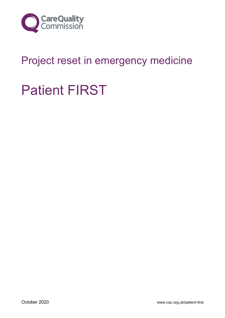

## Project reset in emergency medicine

# Patient FIRST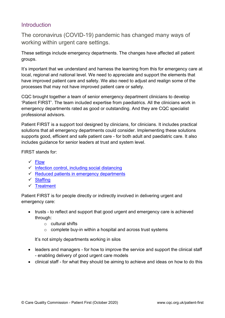## Introduction

The coronavirus (COVID-19) pandemic has changed many ways of working within urgent care settings.

These settings include emergency departments. The changes have affected all patient groups.

It's important that we understand and harness the learning from this for emergency care at local, regional and national level. We need to appreciate and support the elements that have improved patient care and safety. We also need to adjust and realign some of the processes that may not have improved patient care or safety.

CQC brought together a team of senior emergency department clinicians to develop 'Patient FIRST'. The team included expertise from paediatrics. All the clinicians work in emergency departments rated as good or outstanding. And they are CQC specialist professional advisors.

Patient FIRST is a support tool designed by clinicians, for clinicians. It includes practical solutions that all emergency departments could consider. Implementing these solutions supports good, efficient and safe patient care - for both adult and paediatric care. It also includes guidance for senior leaders at trust and system level.

FIRST stands for:

- ✓ [Flow](#page-3-0)
- $\checkmark$  [Infection control, including social distancing](#page-8-0)
- $\checkmark$  [Reduced patients in emergency departments](#page-14-0)
- ✓ [Staffing](#page-18-0)
- ✓ [Treatment](#page-20-0)

Patient FIRST is for people directly or indirectly involved in delivering urgent and emergency care:

- trusts to reflect and support that good urgent and emergency care is achieved through:
	- o cultural shifts
	- $\circ$  complete buy-in within a hospital and across trust systems

It's not simply departments working in silos

- leaders and managers for how to improve the service and support the clinical staff - enabling delivery of good urgent care models
- clinical staff for what they should be aiming to achieve and ideas on how to do this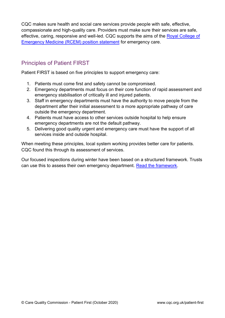CQC makes sure health and social care services provide people with safe, effective, compassionate and high-quality care. Providers must make sure their services are safe, effective, caring, responsive and well-led. CQC supports the aims of the [Royal College of](https://www.rcem.ac.uk/RCEM/News/News_2020/Patients_will_die_unless_care_in_Emergency_Departments_is_reset.aspx)  [Emergency Medicine \(RCEM\) position statement](https://www.rcem.ac.uk/RCEM/News/News_2020/Patients_will_die_unless_care_in_Emergency_Departments_is_reset.aspx) for emergency care.

## Principles of Patient FIRST

Patient FIRST is based on five principles to support emergency care:

- 1. Patients must come first and safety cannot be compromised.
- 2. Emergency departments must focus on their core function of rapid assessment and emergency stabilisation of critically ill and injured patients.
- 3. Staff in emergency departments must have the authority to move people from the department after their initial assessment to a more appropriate pathway of care outside the emergency department.
- 4. Patients must have access to other services outside hospital to help ensure emergency departments are not the default pathway.
- 5. Delivering good quality urgent and emergency care must have the support of all services inside and outside hospital.

When meeting these principles, local system working provides better care for patients. CQC found this through its assessment of services.

Our focused inspections during winter have been based on a structured framework. Trusts can use this to assess their own emergency department. [Read the framework.](https://www.cqc.org.uk/publications/themes-care/patient-first-appendices)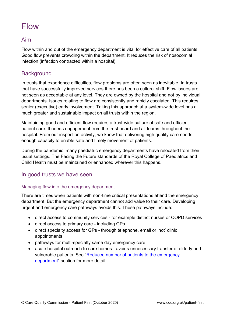## <span id="page-3-0"></span>Flow

#### Aim

Flow within and out of the emergency department is vital for effective care of all patients. Good flow prevents crowding within the department. It reduces the risk of nosocomial infection (infection contracted within a hospital).

## **Background**

In trusts that experience difficulties, flow problems are often seen as inevitable. In trusts that have successfully improved services there has been a cultural shift. Flow issues are not seen as acceptable at any level. They are owned by the hospital and not by individual departments. Issues relating to flow are consistently and rapidly escalated. This requires senior (executive) early involvement. Taking this approach at a system-wide level has a much greater and sustainable impact on all trusts within the region.

Maintaining good and efficient flow requires a trust-wide culture of safe and efficient patient care. It needs engagement from the trust board and all teams throughout the hospital. From our inspection activity, we know that delivering high quality care needs enough capacity to enable safe and timely movement of patients.

During the pandemic, many paediatric emergency departments have relocated from their usual settings. The Facing the Future standards of the Royal College of Paediatrics and Child Health must be maintained or enhanced wherever this happens.

#### In good trusts we have seen

#### Managing flow into the emergency department

There are times when patients with non-time critical presentations attend the emergency department. But the emergency department cannot add value to their care. Developing urgent and emergency care pathways avoids this. These pathways include:

- direct access to community services for example district nurses or COPD services
- direct access to primary care including GPs
- direct specialty access for GPs through telephone, email or 'hot' clinic appointments
- pathways for multi-specialty same day emergency care
- acute hospital outreach to care homes avoids unnecessary transfer of elderly and vulnerable patients. See "[Reduced number of patients to the emergency](#page-14-0)  [department](#page-14-0)" section for more detail.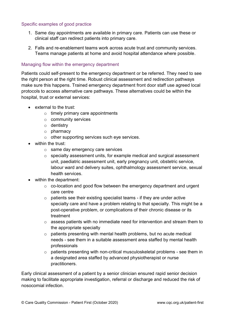#### Specific examples of good practice

- 1. Same day appointments are available in primary care. Patients can use these or clinical staff can redirect patients into primary care.
- 2. Falls and re-enablement teams work across acute trust and community services. Teams manage patients at home and avoid hospital attendance where possible.

#### Managing flow within the emergency department

Patients could self-present to the emergency department or be referred. They need to see the right person at the right time. Robust clinical assessment and redirection pathways make sure this happens. Trained emergency department front door staff use agreed local protocols to access alternative care pathways. These alternatives could be within the hospital, trust or external services:

- external to the trust:
	- $\circ$  timely primary care appointments
	- o community services
	- o dentistry
	- o pharmacy
	- o other supporting services such eye services.
- within the trust:
	- o same day emergency care services
	- o specialty assessment units, for example medical and surgical assessment unit, paediatric assessment unit, early pregnancy unit, obstetric service, labour ward and delivery suites, ophthalmology assessment service, sexual health services.
- within the department:
	- o co-location and good flow between the emergency department and urgent care centre
	- $\circ$  patients see their existing specialist teams if they are under active specialty care and have a problem relating to that specialty. This might be a post-operative problem, or complications of their chronic disease or its treatment
	- $\circ$  assess patients with no immediate need for intervention and stream them to the appropriate specialty
	- $\circ$  patients presenting with mental health problems, but no acute medical needs - see them in a suitable assessment area staffed by mental health professionals
	- o patients presenting with non-critical musculoskeletal problems see them in a designated area staffed by advanced physiotherapist or nurse practitioners.

Early clinical assessment of a patient by a senior clinician ensured rapid senior decision making to facilitate appropriate investigation, referral or discharge and reduced the risk of nosocomial infection.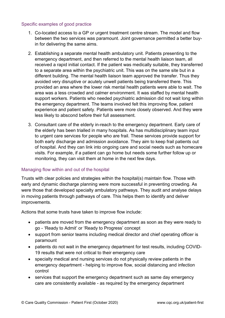#### Specific examples of good practice

- 1. Co-located access to a GP or urgent treatment centre stream. The model and flow between the two services was paramount. Joint governance permitted a better buyin for delivering the same aims.
- 2. Establishing a separate mental health ambulatory unit. Patients presenting to the emergency department, and then referred to the mental health liaison team, all received a rapid initial contact. If the patient was medically suitable, they transferred to a separate area within the psychiatric unit. This was on the same site but in a different building. The mental health liaison team approved the transfer. Thus they avoided very disruptive or acutely unwell patients being transferred there. This provided an area where the lower risk mental health patients were able to wait. The area was a less crowded and calmer environment. It was staffed by mental health support workers. Patients who needed psychiatric admission did not wait long within the emergency department. The teams involved felt this improving flow, patient experience and patient safety. Patients were more closely observed. And they were less likely to abscond before their full assessment.
- 3. Consultant care of the elderly in-reach to the emergency department. Early care of the elderly has been trialled in many hospitals. As has multidisciplinary team input to urgent care services for people who are frail. These services provide support for both early discharge and admission avoidance. They aim to keep frail patients out of hospital. And they can link into ongoing care and social needs such as homecare visits. For example, if a patient can go home but needs some further follow up or monitoring, they can visit them at home in the next few days.

#### Managing flow within and out of the hospital

Trusts with clear policies and strategies within the hospital(s) maintain flow. Those with early and dynamic discharge planning were more successful in preventing crowding. As were those that developed specialty ambulatory pathways. They audit and analyse delays in moving patients through pathways of care. This helps them to identify and deliver improvements.

Actions that some trusts have taken to improve flow include:

- patients are moved from the emergency department as soon as they were ready to go - 'Ready to Admit' or 'Ready to Progress' concept
- support from senior teams including medical director and chief operating officer is paramount
- patients do not wait in the emergency department for test results, including COVID-19 results that were not critical to their emergency care
- specialty medical and nursing services do not physically review patients in the emergency department - helping to improve flow, social distancing and infection control
- services that support the emergency department such as same day emergency care are consistently available - as required by the emergency department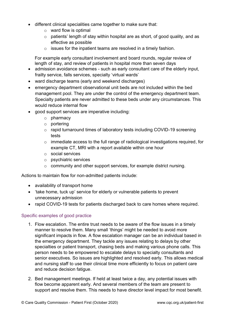- different clinical specialities came together to make sure that:
	- o ward flow is optimal
	- o patients' length of stay within hospital are as short, of good quality, and as effective as possible
	- $\circ$  issues for the inpatient teams are resolved in a timely fashion.

For example early consultant involvement and board rounds, regular review of length of stay, and review of patients in hospital more than seven days

- admission avoidance schemes such as early consultant care of the elderly input, frailty service, falls services, specialty 'virtual wards'
- ward discharge teams (early and weekend discharges)
- emergency department observational unit beds are not included within the bed management pool. They are under the control of the emergency department team. Specialty patients are never admitted to these beds under any circumstances. This would reduce internal flow
- good support services are imperative including:
	- o pharmacy
	- o portering
	- o rapid turnaround times of laboratory tests including COVID-19 screening tests
	- o immediate access to the full range of radiological investigations required, for example CT, MRI with a report available within one hour
	- o social services
	- o psychiatric services
	- o community and other support services, for example district nursing.

Actions to maintain flow for non-admitted patients include:

- availability of transport home
- 'take home, tuck up' service for elderly or vulnerable patients to prevent unnecessary admission
- rapid COVID-19 tests for patients discharged back to care homes where required.

#### Specific examples of good practice

- 1. Flow escalation. The entire trust needs to be aware of the flow issues in a timely manner to resolve them. Many small 'things' might be needed to avoid more significant impacts in flow. A flow escalation manager can be an individual based in the emergency department. They tackle any issues relating to delays by other specialties or patient transport, chasing beds and making various phone calls. This person needs to be empowered to escalate delays to specialty consultants and senior executives. So issues are highlighted and resolved early. This allows medical and nursing staff to use their clinical time more efficiently to focus on patient care and reduce decision fatigue.
- 2. Bed management meetings. If held at least twice a day, any potential issues with flow become apparent early. And several members of the team are present to support and resolve them. This needs to have director level impact for most benefit.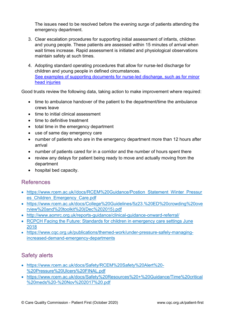The issues need to be resolved before the evening surge of patients attending the emergency department.

- 3. Clear escalation procedures for supporting initial assessment of infants, children and young people. These patients are assessed within 15 minutes of arrival when wait times increase. Rapid assessment is initiated and physiological observations maintain safety at such times.
- 4. Adopting standard operating procedures that allow for nurse-led discharge for children and young people in defined circumstances. [See examples of supporting documents for nurse-led discharge, such as for minor](http://bit.ly/proformashare)  [head injuries](http://bit.ly/proformashare)

Good trusts review the following data, taking action to make improvement where required:

- time to ambulance handover of the patient to the department/time the ambulance crews leave
- time to initial clinical assessment
- time to definitive treatment
- total time in the emergency department
- use of same day emergency care
- number of patients who are in the emergency department more than 12 hours after arrival
- number of patients cared for in a corridor and the number of hours spent there
- review any delays for patient being ready to move and actually moving from the department
- hospital bed capacity.

### References

- [https://www.rcem.ac.uk//docs/RCEM%20Guidance/Postion\\_Statement\\_Winter\\_Pressur](https://www.rcem.ac.uk/docs/RCEM%20Guidance/Postion_Statement_Winter_Pressures_Children_Emergency_Care.pdf) [es\\_Children\\_Emergency\\_Care.pdf](https://www.rcem.ac.uk/docs/RCEM%20Guidance/Postion_Statement_Winter_Pressures_Children_Emergency_Care.pdf)
- [https://www.rcem.ac.uk/docs/College%20Guidelines/5z23.%20ED%20crowding%20ove](https://www.rcem.ac.uk/docs/College%20Guidelines/5z23.%20ED%20crowding%20overview%20and%20toolkit%20(Dec%202015).pdf) [rview%20and%20toolkit%20\(Dec%202015\).pdf](https://www.rcem.ac.uk/docs/College%20Guidelines/5z23.%20ED%20crowding%20overview%20and%20toolkit%20(Dec%202015).pdf)
- <http://www.aomrc.org.uk/reports-guidance/clinical-guidance-onward-referral/>
- [RCPCH Facing the Future: Standards for children in emergency care settings June](https://www.rcpch.ac.uk/resources/facing-future-standards-paediatric-care)  [2018](https://www.rcpch.ac.uk/resources/facing-future-standards-paediatric-care)
- [https://www.cqc.org.uk/publications/themed-work/under-pressure-safely-managing](https://www.cqc.org.uk/publications/themed-work/under-pressure-safely-managing-increased-demand-emergency-departments)[increased-demand-emergency-departments](https://www.cqc.org.uk/publications/themed-work/under-pressure-safely-managing-increased-demand-emergency-departments)

## Safety alerts

- https://www.rcem.ac.uk/docs/Safety/RCEM%20Safety%20Alert%20- %20Pressure%20Ulcers%20FINAL.pdf
- https://www.rcem.ac.uk/docs/Safety%20Resources%20+%20Guidance/Time%20critical %20meds%20-%20Nov%202017%20.pdf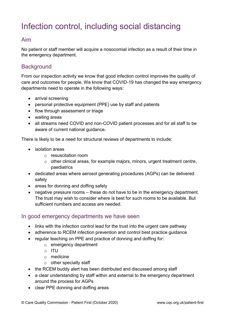## <span id="page-8-0"></span>Infection control, including social distancing

### Aim

No patient or staff member will acquire a nosocomial infection as a result of their time in the emergency department.

## **Background**

From our inspection activity we know that good infection control improves the quality of care and outcomes for people. We know that COVID-19 has changed the way emergency departments need to operate in the following ways:

- arrival screening
- personal protective equipment (PPE) use by staff and patients
- flow through assessment or triage
- waiting areas
- all streams need COVID and non-COVID patient processes and for all staff to be aware of current national guidance.

There is likely to be a need for structural reviews of departments to include:

- isolation areas
	- o resuscitation room
	- o other clinical areas, for example majors, minors, urgent treatment centre, paediatrics
- dedicated areas where aerosol generating procedures (AGPs) can be delivered safely
- areas for donning and doffing safely
- negative pressure rooms these do not have to be in the emergency department. The trust may wish to consider where is best for such rooms to be available. But sufficient numbers and access are needed.

#### In good emergency departments we have seen

- links with the infection control lead for the trust into the urgent care pathway
- adherence to RCEM infection prevention and control best practice guidance
- regular teaching on PPE and practice of donning and doffing for:
	- o emergency department
	- o ITU
	- o medicine
	- $\circ$  other specialty staff
- the RCEM buddy alert has been distributed and discussed among staff
- a clear understanding by staff within and external to the emergency department around the process for AGPs
- clear PPE donning and doffing areas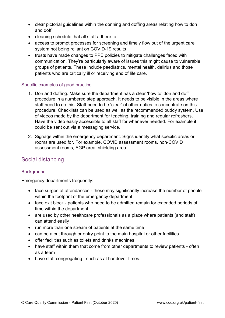- clear pictorial guidelines within the donning and doffing areas relating how to don and doff
- cleaning schedule that all staff adhere to
- access to prompt processes for screening and timely flow out of the urgent care system not being reliant on COVID-19 results
- trusts have made changes to PPE policies to mitigate challenges faced with communication. They're particularly aware of issues this might cause to vulnerable groups of patients. These include paediatrics, mental health, delirius and those patients who are critically ill or receiving end of life care.

#### Specific examples of good practice

- 1. Don and doffing. Make sure the department has a clear 'how to' don and doff procedure in a numbered step approach. It needs to be visible in the areas where staff need to do this. Staff need to be 'clear' of other duties to concentrate on this procedure. Checklists can be used as well as the recommended buddy system. Use of videos made by the department for teaching, training and regular refreshers. Have the video easily accessible to all staff for whenever needed. For example it could be sent out via a messaging service.
- 2. Signage within the emergency department. Signs identify what specific areas or rooms are used for. For example, COVID assessment rooms, non-COVID assessment rooms, AGP area, shielding area.

## Social distancing

#### **Background**

Emergency departments frequently:

- face surges of attendances these may significantly increase the number of people within the footprint of the emergency department
- face exit block patients who need to be admitted remain for extended periods of time within the department
- are used by other healthcare professionals as a place where patients (and staff) can attend easily
- run more than one stream of patients at the same time
- can be a cut through or entry point to the main hospital or other facilities
- offer facilities such as toilets and drinks machines
- have staff within them that come from other departments to review patients often as a team
- have staff congregating such as at handover times.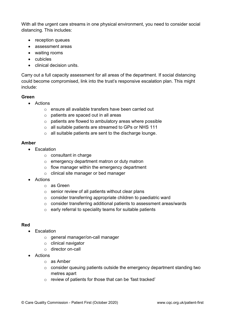With all the urgent care streams in one physical environment, you need to consider social distancing. This includes:

- reception queues
- assessment areas
- waiting rooms
- cubicles
- clinical decision units.

Carry out a full capacity assessment for all areas of the department. If social distancing could become compromised, link into the trust's responsive escalation plan. This might include:

#### **Green**

- Actions
	- o ensure all available transfers have been carried out
	- o patients are spaced out in all areas
	- $\circ$  patients are flowed to ambulatory areas where possible
	- o all suitable patients are streamed to GPs or NHS 111
	- o all suitable patients are sent to the discharge lounge.

#### **Amber**

- Escalation
	- o consultant in charge
	- o emergency department matron or duty matron
	- o flow manager within the emergency department
	- o clinical site manager or bed manager
- Actions
	- o as Green
	- o senior review of all patients without clear plans
	- o consider transferring appropriate children to paediatric ward
	- o consider transferring additional patients to assessment areas/wards
	- o early referral to speciality teams for suitable patients

#### **Red**

- Escalation
	- o general manager/on-call manager
	- o clinical navigator
	- o director on-call
- Actions
	- o as Amber
	- o consider queuing patients outside the emergency department standing two metres apart
	- o review of patients for those that can be 'fast tracked'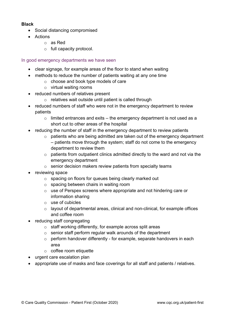#### **Black**

- Social distancing compromised
- Actions
	- o as Red
	- o full capacity protocol.

#### In good emergency departments we have seen

- clear signage, for example areas of the floor to stand when waiting
- methods to reduce the number of patients waiting at any one time
	- o choose and book type models of care
	- o virtual waiting rooms
- reduced numbers of relatives present
	- o relatives wait outside until patient is called through
- reduced numbers of staff who were not in the emergency department to review patients
	- $\circ$  limited entrances and exits the emergency department is not used as a short cut to other areas of the hospital
- reducing the number of staff in the emergency department to review patients
	- o patients who are being admitted are taken out of the emergency department – patients move through the system; staff do not come to the emergency department to review them
	- $\circ$  patients from outpatient clinics admitted directly to the ward and not via the emergency department
	- o senior decision makers review patients from specialty teams
- reviewing space
	- o spacing on floors for queues being clearly marked out
	- o spacing between chairs in waiting room
	- o use of Perspex screens where appropriate and not hindering care or information sharing
	- o use of cubicles
	- o layout of departmental areas, clinical and non-clinical, for example offices and coffee room
- reducing staff congregating
	- o staff working differently, for example across split areas
	- o senior staff perform regular walk arounds of the department
	- o perform handover differently for example, separate handovers in each area
	- o coffee room etiquette
- urgent care escalation plan
- appropriate use of masks and face coverings for all staff and patients / relatives.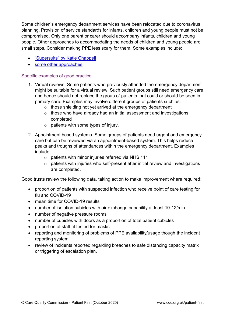Some children's emergency department services have been relocated due to coronavirus planning. Provision of service standards for infants, children and young people must not be compromised. Only one parent or carer should accompany infants, children and young people. Other approaches to accommodating the needs of children and young people are small steps. Consider making PPE less scary for them. Some examples include:

- ["Supersuits" by Katie Chappell](https://www.katiechappell.com/blog/2020/4/4/an-nhs-comic-strip-poster-to-make-ppe-less-scary-for-children)
- [some other approaches](https://dontforgetthebubbles.com/smile-behind-mask/)

#### Specific examples of good practice

- 1. Virtual reviews. Some patients who previously attended the emergency department might be suitable for a virtual review. Such patient groups still need emergency care and hence should not replace the group of patients that could or should be seen in primary care. Examples may involve different groups of patients such as:
	- o those shielding not yet arrived at the emergency department
	- $\circ$  those who have already had an initial assessment and investigations completed
	- $\circ$  patients with some types of injury.
- 2. Appointment based systems. Some groups of patients need urgent and emergency care but can be reviewed via an appointment-based system. This helps reduce peaks and troughs of attendances within the emergency department. Examples include:
	- o patients with minor injuries referred via NHS 111
	- o patients with injuries who self-present after initial review and investigations are completed.

Good trusts review the following data, taking action to make improvement where required:

- proportion of patients with suspected infection who receive point of care testing for flu and COVID-19
- mean time for COVID-19 results
- number of isolation cubicles with air exchange capability at least 10-12/min
- number of negative pressure rooms
- number of cubicles with doors as a proportion of total patient cubicles
- proportion of staff fit tested for masks
- reporting and monitoring of problems of PPE availability/usage though the incident reporting system
- review of incidents reported regarding breaches to safe distancing capacity matrix or triggering of escalation plan.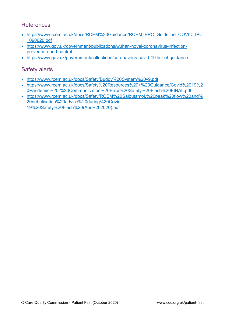## References

- [https://www.rcem.ac.uk/docs/RCEM%20Guidance/RCEM\\_BPC\\_Guideline\\_COVID\\_IPC](https://www.rcem.ac.uk/docs/RCEM%20Guidance/RCEM_BPC_Guideline_COVID_IPC_090620.pdf) [\\_090620.pdf](https://www.rcem.ac.uk/docs/RCEM%20Guidance/RCEM_BPC_Guideline_COVID_IPC_090620.pdf)
- [https://www.gov.uk/government/publications/wuhan-novel-coronavirus-infection](https://www.gov.uk/government/publications/wuhan-novel-coronavirus-infection-prevention-and-control)[prevention-and-control](https://www.gov.uk/government/publications/wuhan-novel-coronavirus-infection-prevention-and-control)
- <https://www.gov.uk/government/collections/coronavirus-covid-19-list-of-guidance>

## Safety alerts

- <https://www.rcem.ac.uk/docs/Safety/Buddy%20System%20v9.pdf>
- [https://www.rcem.ac.uk/docs/Safety%20Resources%20+%20Guidance/Covid%2019%2](https://www.rcem.ac.uk/docs/Safety%20Resources%20+%20Guidance/Covid%2019%20Pandemic%20-%20Communication%20Error%20Safety%20Flash%20FINAL.pdf) [0Pandemic%20-%20Communication%20Error%20Safety%20Flash%20FINAL.pdf](https://www.rcem.ac.uk/docs/Safety%20Resources%20+%20Guidance/Covid%2019%20Pandemic%20-%20Communication%20Error%20Safety%20Flash%20FINAL.pdf)
- [https://www.rcem.ac.uk/docs/Safety/RCEM%20Salbutamol,%20peak%20flow%20and%](https://www.rcem.ac.uk/docs/Safety/RCEM%20Salbutamol,%20peak%20flow%20and%20nebulisation%20advice%20during%20Covid-19%20Safety%20Flash%20(Apr%202020).pdf) [20nebulisation%20advice%20during%20Covid-](https://www.rcem.ac.uk/docs/Safety/RCEM%20Salbutamol,%20peak%20flow%20and%20nebulisation%20advice%20during%20Covid-19%20Safety%20Flash%20(Apr%202020).pdf)[19%20Safety%20Flash%20\(Apr%202020\).pdf](https://www.rcem.ac.uk/docs/Safety/RCEM%20Salbutamol,%20peak%20flow%20and%20nebulisation%20advice%20during%20Covid-19%20Safety%20Flash%20(Apr%202020).pdf)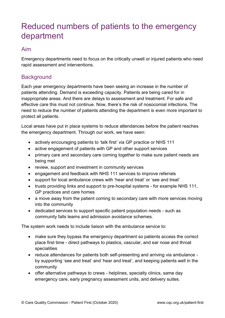## <span id="page-14-0"></span>Reduced numbers of patients to the emergency department

### Aim

Emergency departments need to focus on the critically unwell or injured patients who need rapid assessment and interventions.

## **Background**

Each year emergency departments have been seeing an increase in the number of patients attending. Demand is exceeding capacity. Patients are being cared for in inappropriate areas. And there are delays to assessment and treatment. For safe and effective care this must not continue. Now, there's the risk of nosocomial infections. The need to reduce the number of patients attending the department is even more important to protect all patients.

Local areas have put in place systems to reduce attendances before the patient reaches the emergency department. Through our work, we have seen:

- actively encouraging patients to 'talk first' via GP practice or NHS 111
- active engagement of patients with GP and other support services
- primary care and secondary care coming together to make sure patient needs are being met
- review, support and investment in community services
- engagement and feedback with NHS 111 services to improve referrals
- support for local ambulance crews with 'hear and treat' or 'see and treat'
- trusts providing links and support to pre-hospital systems for example NHS 111, GP practices and care homes
- a move away from the patient coming to secondary care with more services moving into the community
- dedicated services to support specific patient population needs such as community falls teams and admission avoidance schemes.

The system work needs to include liaison with the ambulance service to:

- make sure they bypass the emergency department so patients access the correct place first time - direct pathways to plastics, vascular, and ear nose and throat specialities
- reduce attendances for patients both self-presenting and arriving via ambulance by supporting 'see and treat' and 'hear and treat', and keeping patients well in the community
- offer alternative pathways to crews helplines, specialty clinics, same day emergency care, early pregnancy assessment units, and delivery suites.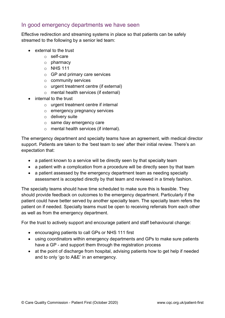#### In good emergency departments we have seen

Effective redirection and streaming systems in place so that patients can be safely streamed to the following by a senior led team:

- external to the trust
	- o self-care
	- o pharmacy
	- o NHS 111
	- o GP and primary care services
	- o community services
	- o urgent treatment centre (if external)
	- o mental health services (if external)
- internal to the trust
	- o urgent treatment centre if internal
	- o emergency pregnancy services
	- o delivery suite
	- o same day emergency care
	- o mental health services (if internal).

The emergency department and specialty teams have an agreement, with medical director support. Patients are taken to the 'best team to see' after their initial review. There's an expectation that:

- a patient known to a service will be directly seen by that specialty team
- a patient with a complication from a procedure will be directly seen by that team
- a patient assessed by the emergency department team as needing specialty assessment is accepted directly by that team and reviewed in a timely fashion.

The specialty teams should have time scheduled to make sure this is feasible. They should provide feedback on outcomes to the emergency department. Particularly if the patient could have better served by another specialty team. The specialty team refers the patient on if needed. Specialty teams must be open to receiving referrals from each other as well as from the emergency department.

For the trust to actively support and encourage patient and staff behavioural change:

- encouraging patients to call GPs or NHS 111 first
- using coordinators within emergency departments and GPs to make sure patients have a GP - and support them through the registration process
- at the point of discharge from hospital, advising patients how to get help if needed and to only 'go to A&E' in an emergency.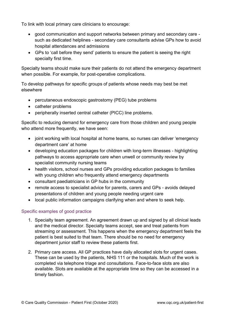To link with local primary care clinicians to encourage:

- good communication and support networks between primary and secondary care such as dedicated helplines - secondary care consultants advise GPs how to avoid hospital attendances and admissions
- GPs to 'call before they send' patients to ensure the patient is seeing the right specialty first time.

Specialty teams should make sure their patients do not attend the emergency department when possible. For example, for post-operative complications.

To develop pathways for specific groups of patients whose needs may best be met elsewhere

- percutaneous endoscopic gastrostomy (PEG) tube problems
- catheter problems
- peripherally inserted central catheter (PICC) line problems.

Specific to reducing demand for emergency care from those children and young people who attend more frequently, we have seen:

- joint working with local hospital at home teams, so nurses can deliver 'emergency department care' at home
- developing education packages for children with long-term illnesses highlighting pathways to access appropriate care when unwell or community review by specialist community nursing teams
- health visitors, school nurses and GPs providing education packages to families with young children who frequently attend emergency departments
- consultant paediatricians in GP hubs in the community
- remote access to specialist advice for parents, carers and GPs avoids delayed presentations of children and young people needing urgent care
- local public information campaigns clarifying when and where to seek help.

#### Specific examples of good practice

- 1. Specialty team agreement. An agreement drawn up and signed by all clinical leads and the medical director. Specialty teams accept, see and treat patients from streaming or assessment. This happens when the emergency department feels the patient is best suited to that team. There should be no need for emergency department junior staff to review these patients first.
- 2. Primary care access. All GP practices have daily allocated slots for urgent cases. These can be used by the patients, NHS 111 or the hospitals. Much of the work is completed via telephone triage and consultations. Face-to-face slots are also available. Slots are available at the appropriate time so they can be accessed in a timely fashion.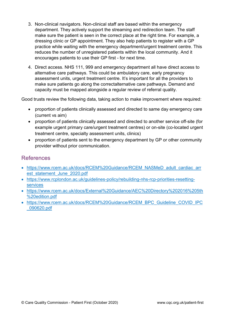- 3. Non-clinical navigators. Non-clinical staff are based within the emergency department. They actively support the streaming and redirection team. The staff make sure the patient is seen in the correct place at the right time. For example, a dressing clinic or GP appointment. They also help patients to register with a GP practice while waiting with the emergency department/urgent treatment centre. This reduces the number of unregistered patients within the local community. And it encourages patients to use their GP first - for next time.
- 4. Direct access. NHS 111, 999 and emergency department all have direct access to alternative care pathways. This could be ambulatory care, early pregnancy assessment units, urgent treatment centre. It's important for all the providers to make sure patients go along the correctalternative care pathways. Demand and capacity must be mapped alongside a regular review of referral quality.

Good trusts review the following data, taking action to make improvement where required:

- proportion of patients clinically assessed and directed to same day emergency care (current vs aim)
- proportion of patients clinically assessed and directed to another service off-site (for example urgent primary care/urgent treatment centres) or on-site (co-located urgent treatment centre, specialty assessment units, clinics)
- proportion of patients sent to the emergency department by GP or other community provider without prior communication.

## References

- [https://www.rcem.ac.uk/docs/RCEM%20Guidance/RCEM\\_NASMeD\\_adult\\_cardiac\\_arr](https://www.rcem.ac.uk/docs/RCEM%20Guidance/RCEM_NASMeD_adult_cardiac_arrest_statement_June_2020.pdf) [est\\_statement\\_June\\_2020.pdf](https://www.rcem.ac.uk/docs/RCEM%20Guidance/RCEM_NASMeD_adult_cardiac_arrest_statement_June_2020.pdf)
- [https://www.rcplondon.ac.uk/guidelines-policy/rebuilding-nhs-rcp-priorities-resetting](https://www.rcplondon.ac.uk/guidelines-policy/rebuilding-nhs-rcp-priorities-resetting-services)[services](https://www.rcplondon.ac.uk/guidelines-policy/rebuilding-nhs-rcp-priorities-resetting-services)
- [https://www.rcem.ac.uk/docs/External%20Guidance/AEC%20Directory%202016%205th](https://www.rcem.ac.uk/docs/External%20Guidance/AEC%20Directory%202016%205th%20edition.pdf) [%20edition.pdf](https://www.rcem.ac.uk/docs/External%20Guidance/AEC%20Directory%202016%205th%20edition.pdf)
- [https://www.rcem.ac.uk/docs/RCEM%20Guidance/RCEM\\_BPC\\_Guideline\\_COVID\\_IPC](https://www.rcem.ac.uk/docs/RCEM%20Guidance/RCEM_BPC_Guideline_COVID_IPC_090620.pdf) [\\_090620.pdf](https://www.rcem.ac.uk/docs/RCEM%20Guidance/RCEM_BPC_Guideline_COVID_IPC_090620.pdf)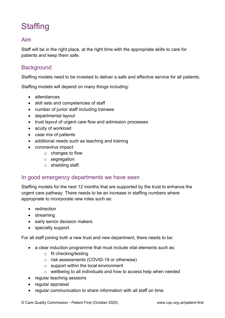## <span id="page-18-0"></span>**Staffing**

## Aim

Staff will be in the right place, at the right time with the appropriate skills to care for patients and keep them safe.

#### **Background**

Staffing models need to be invested to deliver a safe and effective service for all patients.

Staffing models will depend on many things including:

- attendances
- skill sets and competencies of staff
- number of junior staff including trainees
- departmental layout
- trust layout of urgent care flow and admission processes
- acuity of workload
- case mix of patients
- additional needs such as teaching and training
- coronavirus impact:
	- $\circ$  changes to flow
	- o segregation
	- o shielding staff.

#### In good emergency departments we have seen

Staffing models for the next 12 months that are supported by the trust to enhance the urgent care pathway. There needs to be an increase in staffing numbers where appropriate to incorporate new roles such as:

- redirection
- streaming
- early senior decision makers
- specialty support.

For all staff joining both a new trust and new department, there needs to be:

- a clear induction programme that must include vital elements such as:
	- o fit checking/testing
	- o risk assessments (COVID-19 or otherwise)
	- $\circ$  support within the local environment
	- o wellbeing to all individuals and how to access help when needed
- regular teaching sessions
- regular appraisal
- regular communication to share information with all staff on time.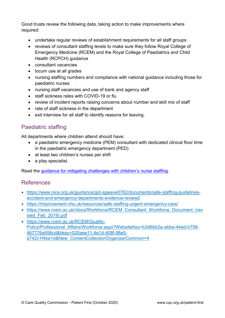Good trusts review the following data, taking action to make improvements where required:

- undertake regular reviews of establishment requirements for all staff groups
- reviews of consultant staffing levels to make sure they follow Royal College of Emergency Medicine (RCEM) and the Royal College of Paediatrics and Child Health (RCPCH) guidance
- consultant vacancies
- locum use at all grades
- nursing staffing numbers and compliance with national guidance including those for paediatric nurses
- nursing staff vacancies and use of bank and agency staff
- staff sickness rates with COVID-19 or flu
- review of incident reports raising concerns about number and skill mix of staff
- rate of staff sickness in the department
- exit interview for all staff to identify reasons for leaving.

### Paediatric staffing

All departments where children attend should have:

- a paediatric emergency medicine (PEM) consultant with dedicated clinical floor time in the paediatric emergency department (PED)
- at least two children's nurses per shift
- a play specialist.

Read the guidance for mitig[ating challenges with children's](https://www.rcpch.ac.uk/sites/default/files/2020-05/cqc_brief_guide_staffing_in_emergency_departments_that_treat_children.pdf) nurse staffing.

### References

- [https://www.nice.org.uk/guidance/gid-sgwave0762/documents/safe-staffing-guidelines](https://www.nice.org.uk/guidance/gid-sgwave0762/documents/safe-staffing-guidelines-accident-and-emergency-departments-evidence-review2)[accident-and-emergency-departments-evidence-review2](https://www.nice.org.uk/guidance/gid-sgwave0762/documents/safe-staffing-guidelines-accident-and-emergency-departments-evidence-review2)
- <https://improvement.nhs.uk/resources/safe-staffing-urgent-emergency-care/>
- [https://www.rcem.ac.uk//docs/Workforce/RCEM\\_Consultant\\_Workforce\\_Document\\_\(rev](https://www.rcem.ac.uk/docs/Workforce/RCEM_Consultant_Workforce_Document_(revised_Feb_2019).pdf) [ised\\_Feb\\_2019\).pdf](https://www.rcem.ac.uk/docs/Workforce/RCEM_Consultant_Workforce_Document_(revised_Feb_2019).pdf)
- [https://www.rcem.ac.uk/RCEM/Quality-](https://www.rcem.ac.uk/RCEM/Quality-Policy/Professional_Affairs/Workforce.aspx?WebsiteKey=b3d6bb2a-abba-44ed-b758-467776a958cd&hkey=520aee11-4e1d-408f-98e5-a742c1f4be1d&New_ContentCollectionOrganizerCommon=4)Policy/Professional Affairs/Workforce.aspx?WebsiteKey=b3d6bb2a-abba-44ed-b758-[467776a958cd&hkey=520aee11-4e1d-408f-98e5](https://www.rcem.ac.uk/RCEM/Quality-Policy/Professional_Affairs/Workforce.aspx?WebsiteKey=b3d6bb2a-abba-44ed-b758-467776a958cd&hkey=520aee11-4e1d-408f-98e5-a742c1f4be1d&New_ContentCollectionOrganizerCommon=4) [a742c1f4be1d&New\\_ContentCollectionOrganizerCommon=4](https://www.rcem.ac.uk/RCEM/Quality-Policy/Professional_Affairs/Workforce.aspx?WebsiteKey=b3d6bb2a-abba-44ed-b758-467776a958cd&hkey=520aee11-4e1d-408f-98e5-a742c1f4be1d&New_ContentCollectionOrganizerCommon=4)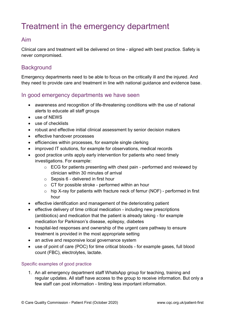## <span id="page-20-0"></span>Treatment in the emergency department

## Aim

Clinical care and treatment will be delivered on time - aligned with best practice. Safety is never compromised.

### **Background**

Emergency departments need to be able to focus on the critically ill and the injured. And they need to provide care and treatment in line with national guidance and evidence base.

#### In good emergency departments we have seen

- awareness and recognition of life-threatening conditions with the use of national alerts to educate all staff groups
- use of NEWS
- use of checklists
- robust and effective initial clinical assessment by senior decision makers
- effective handover processes
- efficiencies within processes, for example single clerking
- improved IT solutions, for example for observations, medical records
- good practice units apply early intervention for patients who need timely investigations. For example:
	- o ECG for patients presenting with chest pain performed and reviewed by clinician within 30 minutes of arrival
	- $\circ$  Sepsis 6 delivered in first hour
	- o CT for possible stroke performed within an hour
	- $\circ$  hip X-ray for patients with fracture neck of femur (NOF) performed in first hour
- effective identification and management of the deteriorating patient
- effective delivery of time critical medication including new prescriptions (antibiotics) and medication that the patient is already taking - for example medication for Parkinson's disease, epilepsy, diabetes
- hospital-led responses and ownership of the urgent care pathway to ensure treatment is provided in the most appropriate setting
- an active and responsive local governance system
- use of point of care (POC) for time critical bloods for example gases, full blood count (FBC), electrolytes, lactate.

#### Specific examples of good practice

1. An all emergency department staff WhatsApp group for teaching, training and regular updates. All staff have access to the group to receive information. But only a few staff can post information - limiting less important information.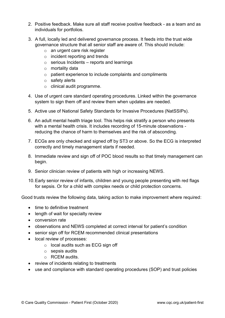- 2. Positive feedback. Make sure all staff receive positive feedback as a team and as individuals for portfolios.
- 3. A full, locally led and delivered governance process. It feeds into the trust wide governance structure that all senior staff are aware of. This should include:
	- o an urgent care risk register
	- $\circ$  incident reporting and trends
	- $\circ$  serious Incidents reports and learnings
	- o mortality data
	- o patient experience to include complaints and compliments
	- o safety alerts
	- o clinical audit programme.
- 4. Use of urgent care standard operating procedures. Linked within the governance system to sign them off and review them when updates are needed.
- 5. Active use of National Safety Standards for Invasive Procedures (NatSSIPs).
- 6. An adult mental health triage tool. This helps risk stratify a person who presents with a mental health crisis. It includes recording of 15-minute observations reducing the chance of harm to themselves and the risk of absconding.
- 7. ECGs are only checked and signed off by ST3 or above. So the ECG is interpreted correctly and timely management starts if needed.
- 8. Immediate review and sign off of POC blood results so that timely management can begin.
- 9. Senior clinician review of patients with high or increasing NEWS.
- 10.Early senior review of infants, children and young people presenting with red flags for sepsis. Or for a child with complex needs or child protection concerns.

Good trusts review the following data, taking action to make improvement where required:

- time to definitive treatment
- length of wait for specialty review
- conversion rate
- observations and NEWS completed at correct interval for patient's condition
- senior sign off for RCEM recommended clinical presentations
- local review of processes:
	- o local audits such as ECG sign off
	- o sepsis audits
	- o RCEM audits.
- review of incidents relating to treatments
- use and compliance with standard operating procedures (SOP) and trust policies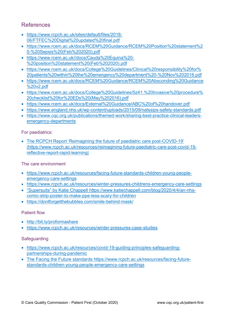## References

- [https://www.rcpch.ac.uk/sites/default/files/2018-](https://www.rcpch.ac.uk/sites/default/files/2018-06/FTFEC%20Digital%20updated%20final.pdf) [06/FTFEC%20Digital%20updated%20final.pdf](https://www.rcpch.ac.uk/sites/default/files/2018-06/FTFEC%20Digital%20updated%20final.pdf)
- [https://www.rcem.ac.uk/docs/RCEM%20Guidance/RCEM%20Position%20statement%2](https://www.rcem.ac.uk/docs/RCEM%20Guidance/RCEM%20Position%20statement%20-%20Sepsis%20(Feb%202020).pdf) [0-%20Sepsis%20\(Feb%202020\).pdf](https://www.rcem.ac.uk/docs/RCEM%20Guidance/RCEM%20Position%20statement%20-%20Sepsis%20(Feb%202020).pdf)
- [https://www.rcem.ac.uk//docs/Cauda%20Equina%20-](https://www.rcem.ac.uk/docs/Cauda%20Equina%20-%20position%20statement%20(Feb%202020).pdf) [%20position%20statement%20\(Feb%202020\).pdf](https://www.rcem.ac.uk/docs/Cauda%20Equina%20-%20position%20statement%20(Feb%202020).pdf)
- [https://www.rcem.ac.uk/docs/College%20Guidelines/Clinical%20responsibility%20for%](https://www.rcem.ac.uk/docs/College%20Guidelines/Clinical%20responsibility%20for%20patients%20within%20the%20emergency%20department%20-%20Nov%202016.pdf) [20patients%20within%20the%20emergency%20department%20-%20Nov%202016.pdf](https://www.rcem.ac.uk/docs/College%20Guidelines/Clinical%20responsibility%20for%20patients%20within%20the%20emergency%20department%20-%20Nov%202016.pdf)
- [https://www.rcem.ac.uk/docs/RCEM%20Guidance/RCEM%20Absconding%20Guidance](https://www.rcem.ac.uk/docs/RCEM%20Guidance/RCEM%20Absconding%20Guidance%20v2.pdf) [%20v2.pdf](https://www.rcem.ac.uk/docs/RCEM%20Guidance/RCEM%20Absconding%20Guidance%20v2.pdf)
- [https://www.rcem.ac.uk/docs/College%20Guidelines/5z41.%20Invasive%20procedure%](https://www.rcem.ac.uk/docs/College%20Guidelines/5z41.%20Invasive%20procedure%20checklist%20for%20EDs%20(May%202016).pdf) [20checklist%20for%20EDs%20\(May%202016\).pdf](https://www.rcem.ac.uk/docs/College%20Guidelines/5z41.%20Invasive%20procedure%20checklist%20for%20EDs%20(May%202016).pdf)
- <https://www.rcem.ac.uk/docs/External%20Guidance/ABC%20of%20handover.pdf>
- <https://www.england.nhs.uk/wp-content/uploads/2015/09/natssips-safety-standards.pdf>
- [https://www.cqc.org.uk/publications/themed-work/sharing-best-practice-clinical-leaders](https://www.cqc.org.uk/publications/themed-work/sharing-best-practice-clinical-leaders-emergency-departments)[emergency-departments](https://www.cqc.org.uk/publications/themed-work/sharing-best-practice-clinical-leaders-emergency-departments)

For paediatrics:

• The RCPCH Report 'Reimagining the future of paediatric care post-COVID-19' [[https://www.rcpch.ac.uk/resources/reimagining-future-paediatric-care-post-covid-19](https://www.rcpch.ac.uk/resources/reimagining-future-paediatric-care-post-covid-19-reflective-report-rapid-learning) [reflective-report-rapid-learning](https://www.rcpch.ac.uk/resources/reimagining-future-paediatric-care-post-covid-19-reflective-report-rapid-learning)]

The care environment

- [https://www.rcpch.ac.uk/resources/facing-future-standards-children-young-people](https://www.rcpch.ac.uk/resources/facing-future-standards-children-young-people-emergency-care-settings)[emergency-care-settings](https://www.rcpch.ac.uk/resources/facing-future-standards-children-young-people-emergency-care-settings)
- <https://www.rcpch.ac.uk/resources/winter-pressures-childrens-emergency-care-settings>
- "Supersuits" by Katie Chappell [https://www.katiechappell.com/blog/2020/4/4/an-nhs](https://www.katiechappell.com/blog/2020/4/4/an-nhs-comic-strip-poster-to-make-ppe-less-scary-for-children)[comic-strip-poster-to-make-ppe-less-scary-for-children](https://www.katiechappell.com/blog/2020/4/4/an-nhs-comic-strip-poster-to-make-ppe-less-scary-for-children)
- <https://dontforgetthebubbles.com/smile-behind-mask/>

#### Patient flow

- <http://bit.ly/proformashare>
- <https://www.rcpch.ac.uk/resources/winter-pressures-case-studies>

#### **Safeguarding**

- [https://www.rcpch.ac.uk/resources/covid-19-guiding-principles-safeguarding](https://www.rcpch.ac.uk/resources/covid-19-guiding-principles-safeguarding-partnerships-during-pandemic)[partnerships-during-pandemic](https://www.rcpch.ac.uk/resources/covid-19-guiding-principles-safeguarding-partnerships-during-pandemic)
- The Facing the Future standards [https://www.rcpch.ac.uk/resources/facing-future](https://www.rcpch.ac.uk/resources/facing-future-standards-children-young-people-emergency-care-settings)[standards-children-young-people-emergency-care-settings](https://www.rcpch.ac.uk/resources/facing-future-standards-children-young-people-emergency-care-settings)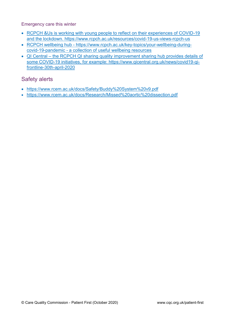Emergency care this winter

- RCPCH &Us is working with young people to reflect on their experiences of COVID-19 and the lockdown.<https://www.rcpch.ac.uk/resources/covid-19-us-views-rcpch-us>
- RCPCH wellbeing hub [https://www.rcpch.ac.uk/key-topics/your-wellbeing-during](https://www.rcpch.ac.uk/key-topics/your-wellbeing-during-covid-19-pandemic)[covid-19-pandemic](https://www.rcpch.ac.uk/key-topics/your-wellbeing-during-covid-19-pandemic) - a collection of useful wellbeing resources
- QI Central the RCPCH QI sharing quality improvement sharing hub provides details of some COVID-19 initiatives, for example: [https://www.qicentral.org.uk/news/covid19-qi](https://www.qicentral.org.uk/news/covid19-qi-frontline-30th-april-2020)[frontline-30th-april-2020](https://www.qicentral.org.uk/news/covid19-qi-frontline-30th-april-2020)

### Safety alerts

- <https://www.rcem.ac.uk/docs/Safety/Buddy%20System%20v9.pdf>
- <https://www.rcem.ac.uk/docs/Research/Missed%20aortic%20dissection.pdf>